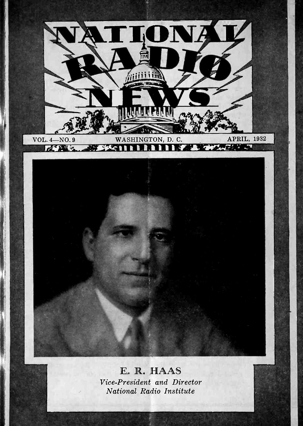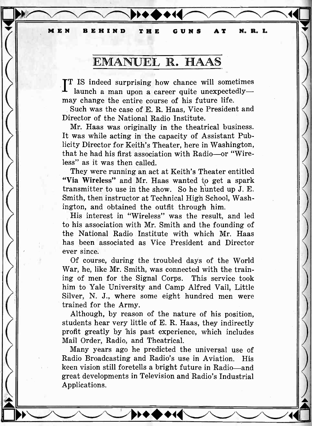MEN BEHIND THE GUNS AT N. R. I.

# EMANUEL R. HAAS

TT IS indeed surprising how chance will sometimes launch a man upon a career quite unexpectedlymay change the entire course of his future life.

Such was the case of E. R. Haas, Vice President and Director of the National Radio Institute.

Mr. Haas was originally in the theatrical business. It was while acting in the capacity of Assistant Publicity Director for Keith's Theater, here in Washington, that he had his first association with Radio-or "Wireless" as it was then called.

They were running an act at Keith's Theater entitled "Via Wireless" and Mr. Haas wanted to get a spark transmitter to use in the show. So he hunted up J. E. Smith, then instructor at Technical High School, Washington, and obtained the outfit through him.

His interest in "Wireless" was the result, and led to his association with Mr. Smith and the founding of the National Radio Institute with which Mr. Haas has been associated as Vice President and Director ever since.

Of course, during the troubled days of the World War, he, like Mr. Smith, was connected with the training of men for the Signal Corps. This service took him to Yale University and Camp Alfred Vail, Little Silver, N. J., where some eight hundred men were trained for the Army.

Although, by reason of the nature of his position, students hear very little of E. R. Haas, they indirectly profit greatly by his past experience, which includes Mail Order, Radio, and Theatrical.

Many years ago he predicted the universal use of Radio Broadcasting and Radio's use in Aviation. His keen vision still foretells a bright future in Radio-and great developments in Television and Radio's Industrial Applications.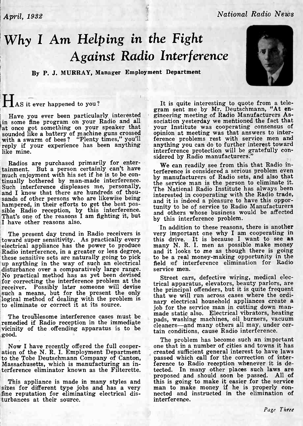# Why I Am Helping in the Fight Against Radio Interference

By P. J. MURRAY, Manager Employment Department

# HAS it ever happened to you?

like mine.

Radios are purchased primarily for entertainment. But a person certainly can't have the can readily see from this that hadio in-<br>much enjoyment with his set if he is to be con-<br>the manufacturers of Radio sets, and also that tinually bothered by man-made interference.<br>Such interference displeases me, personally, the service man is the person to eliminate it.<br>The National Radio Institute has always been<br>and I know that there are hundreds of tho sands of other persons who are likewise being hampered, in their efforts to get the best pos-<br>hampered, in their efforts to get the best pos-<br>tunity sible Radio reception, by this interference.<br>That's one of the reasons I am fighting it, but<br>I have other reasons also.

The present day trend in Radio receivers is toward super sensitivity. As practically every Radio interference, in a greater or less degree, these sensitive sets are naturally going to pick up anything in the way of such an electrical disturbance over a comparatively large range. No practical method has as yet be for correcting the interference problem at the receiver. Possibly later someone will devise<br>such a means, but for the present the only that we logical method of dealing with the problem is to eliminate or correct it at its source.

vicinity of the offending apparatus is to be good.

Massachusetts, which is manufacturing an in-<br>terference eliminator known as the Filterette. tected. In many other places such laws are terference eliminator known as the Filterette.

sizes for different type jobs and has a very s man to make money if he is properly con-<br>fine reputation for eliminating electrical dis-<br>mected and instructed in the elimination of fine reputation for eliminating electrical disturbances at their source.

The set of the by Mr. Deutschmann, "At en-<br>Have you ever been particularly interested gineering meeting of Radio Manufacturers As-<br>in some fine program on your Radio and all sociation yesterday we mentioned the fact that tin something on your speaker that your Institute was cooperating consensus of sounded like a battery of machine guns crossed opinion at meeting was that answers to interwith a swarm of bees ? "Plenty times," you'll ferenc It is quite interesting to quote from a telegram sent me by Mr. Deutschmann, "At engineering meeting of Radio Manufacturers Association yesterday we mentioned the fact that your Institute was cooperating consensus of opini anything you can do to further interest toward interference protection will be gratefully con- sidered by Radio manufacturers."

> We can readily see from this that Radio inby manufacturers of Radio sets, and also that and it is indeed a pleasure to have this opportunity to be of service to Radio Manufacturers and others whose business would be affected by this interference problem.

In addition to these reasons, there is another very important one why I am cooperating in this drive. It is because I want to see as many N. R. I. men as possible make money and it looks to me as though there is going to be a real money -making opportunity in the field of interference elimination for Radio service men.

The troublesome interference cases must be  $\mu$  made static also. Enclined Virtually, reading<br>remedied if Radio reception in the immediate algebras, washing machines, oil burners, vacuum Street cars, defective wiring, medical electrical apparatus, elevators, beauty parlors, are that we will run across cases where the ordinary electrical household appliances create a<br>job for the service man in cutting down manmade static also. Electrical vibrators, heating cleaners-and many others all may, under certain conditions, cause Radio interference.

Now I have recently offered the full cooper- one that in a number of cities and towns it has<br>ation of the N. R. I. Employment Department<br>to the Tobe Deutschmann Company of Canton, passed which call for the correction of in This appliance is made in many styles and this is going to make it easier for the service<br>zes for different type jobs and has a very s man to make money if he is properly con-The problem has become such an important created sufficient general interest to have laws ference to Radio reception whenever it is deproposed and should soon be passed. All of this is going to make it easier for the service interference.

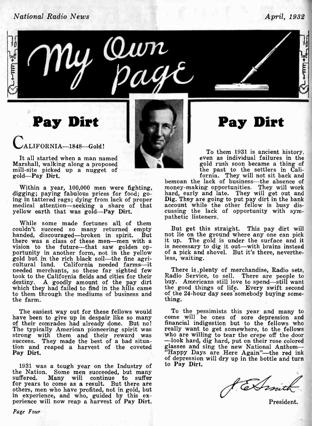## National Radio News April, 1932



Pay Dirt

ALIFORNIA-1848-Gold!

It all started when a man named Marshall, walking along a proposed<br>mill-site picked up a nugget of<br>gold-Pay Dirt.

ing in tattered rags; dying from lack of proper **Dig.** They are going to put pay dirt in the bank<br>medical attention—seeking a share of that account while the other fellow is busy dis-<br>yellow earth that was gold—**Pay Dirt**. yellow earth that was gold-Pay Dirt.

mathetic listeners.<br>While some made fortunes all of them<br>uldn't succeed so many returned empty But get this straight. This pay dirt will couldn't succeed so many returned empty handed, discouraged-broken in spirit. But no there was a class of these men—men with a it up. vision to the future-that saw golden opportunity in another form, not in the yellow of a pick and shovel. But it's there, neverthe-<br>gold but in the rich black soil—the fine agri-<br>cultural land. California needed farms—it<br>needed merchants, so these far sighted f needed merchants, so these far sighted few took to the California fields and cities for their destiny. A goodly amount of the pay dirt buy. Americans still love to spend—still want<br>which they had failed to find in the hills came the good things of life. Every swift second to them through the mediums of business and the farm.

The easiest way out for these fellows would To the pessimists this year and many to have been to give up in despair like so many come will be ones of sore depression and of their comrades had already done. But no! financial indigestion but to the fellows who<br>The typically American pioneering spirit was really want to get somewhere, to the fellows The typically American pioneering spirit was strong with them and their reward was success. They made the best of a bad situa-<br>tion and reaped a harvest of the coveted glasses a<br>Pay Dirt. "Happy

1931 was a tough year on the Industry of to Pay Dirt. the Nation. Some men succeeded, but many suffered. Many will continue to suffer for years to come as a result. But there are others, men who have profited, not in gold, but in experience, and who, guided by this ex-<br>perience will now reap a harvest of Pay Dirt.

Page Four



# Pay Dirt

To them 1931 is ancient history, even as individual failures in the gold rush soon became a thing of the past to the settlers in Cali-

Within a year, 100,000 men were fighting, money-making opportunities. They will work<br>digging; paying fabulous prices for food; go-<br>ing in tattered rags; dying from lack of proper Dig. They are going to put pay dirt in the bemoan the lack of business-the absence of money-making opportunities. They will work money maning opportunities. They will get out and hard, early and late. They will get out and account while the other fellow is busy dis-

> not lie on the ground where any one can pick it up. The gold is under the surface and it is necessary to dig it out—with brains instead of a pick and shovel. But it's there, nevertheless, waiting.

> Radio Service, to sell. There are people to buy. Americans still love to spend-still want of the 24 -hour day sees somebody buying something.

> come will be ones of sore depression and financial indigestion but to the fellows who who are willing to tear the crepe off the door<br>-look hard, dig hard, put on their rose colored glasses and sing the new National Anthem-<br>"Happy Days are Here Again"-the red ink of depression will dry up in the bottle and turn

farmit

President.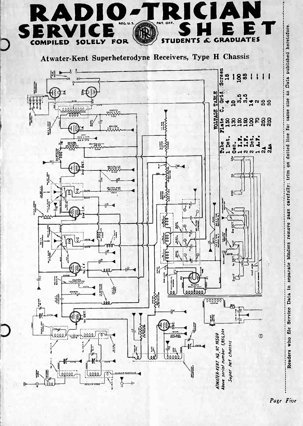

Page Five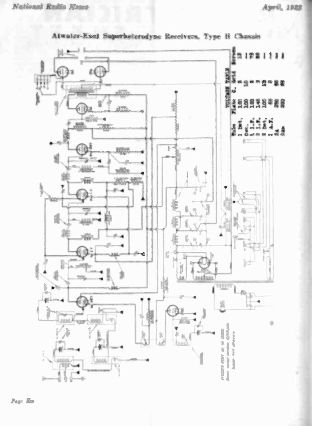

Atwater-Kent Superheterodyne Receivers. Type H Chassis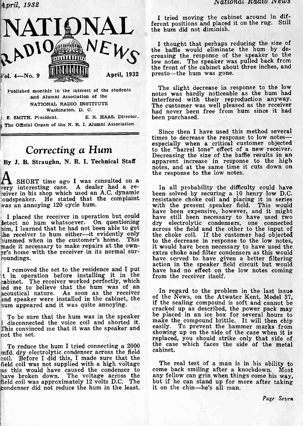

Published monthly in the interest of the students and Alumni Association of the NATIONAL RADIO INSTITUTE Washington, D. C.

E. SMITH, President. E. R. HAAS, Director. The Official Organ of the N. R. I. Alumni Association

# Correcting a Hum

**A** SHORT time ago I was consulted on a<br>very interesting case. A dealer had a re- In all probability the difficulty could have

I placed the receiver in operation but could<br>detect no hum whatsoever. On questioning him, I learned that he had not been able to get the receiver to hum either--it evidently only er's home with the receiver in its normal surroundings.

I removed the set to the residence and I put -,t in operation before installing it in the cabinet. The receiver worked perfectly, which led me to believe that the hum was of an<br>equation nature, As soon as the receiver. In regard to the problem in the last issue acoustical nature. As soon as the receiver all regard to the problem in the last issue.<br>and speaker were installed in the cabinet, the of the News, on the Atwater Kent, Model 37,

To be sure that the hum was in the speaker disconnected the voice coil and shorted it. This convinced me that it was the speaker and not the set.

To reduce the hum I tried connecting a 2000 mid. dry electrolytic condenser across the field coil. Before I did this, I made sure that the field coil was not supplied with a high voltage hs this would have caused the condenser to have broken down. The voltage across the any fellow can grin when things come his way,<br>field coil was approximately 12 volts D.C. The but if he can stand up for more after taking field coil was approximately 12 volts D.C. The condenser did not reduce the hum in the least.

I tried moving the cabinet around in different positions and placed it on the rug. Still the hum did not diminish.

 $N$   $\epsilon$  is thought that pernaps requesting the hum by de-I thought that perhaps reducing the size of creasing the response of the speaker to the low notes. The speaker was pulled back from the front of the cabinet about three inches, and

> The slight decrease in response to the low notes was hardly noticeable as the hum had interfered with their reproduction anyway. The customer was well pleased as the receiver had never been free from hum since it had been purchased.

By J. B. Straughn, N. R. I. Technical Staff apparent increase in response to the high Since then I have used this method several<br>times to decrease the response to low notes especially when a critical customer objected to the "barrel tone" effect of a new receiver. Decreasing the size of the baffle results in an notes, and at the same time it cuts down on the response to the low notes.

eiver in his shop which used an A.C. dynamic<br>loudspeaker. He stated that the complaint resistance choke coil and placing it in series oudspeaker. He stated that the complaint resistance choke coil and placing it in series<br>was an annoying 120 cycle hum.<br>have been expensive, however, and it might hummed when in the customer's home. This to the decrease in response to the low notes, made it necessary to make repairs at the own-<br>it would have been necessary to have used the been solved by securing a 10 henry low D.C. have still been necessary to have used two dry electrolytic condensers, one connected across the field and the other to the input of the choke coil. If the customer had objected to the decrease in response to the low notes, extra choke and filter condensers as this would have served to have given a better filtering action in the speaker field circuit but would have had no effect on the low notes coming from the receiver itself.

and speaker were installed in the cabinet, the unit of the News, on the Atwater Kent, Model 37,<br>num appeared and it was quite annoying.<br>cracked up as described, the power pack may be placed in an ice box for several hours to<br>make the compound brittle. It will then chip easily. To prevent the hammer marks from showing up on the side of the case when it is replaced, you should strike only that side of the case which faces the side of the metal cabinet.

> The real test of a man is in his ability to come back smiling after a knockdown. Most any fellow can grin when things come his way, it on the chin-he's all man.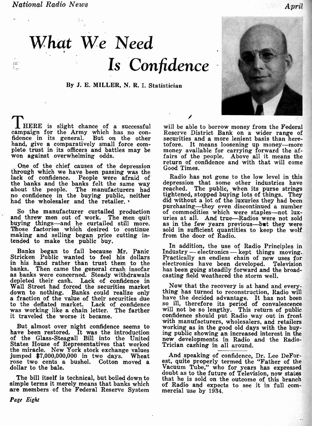$f\, \gamma^*$  :  $\mathbb{Z}_{\geq 0}$ 

By J. E. MILLER, N. R. I. Statistician

I HERE is slight chance of a successful will be able to borrow money from the Federal campaign for the Army which has no con- Reserve District Bank on a wider range of fidence in its general. But on the other secul hand, give a comparatively small force com-<br>plete trust in its officers and battles may be money<br>won against overwhelming odds. fairs

One of the chief causes of the depression through which we have been passing was the<br>lack of confidence. People were afraid of Radio has not gone to the low level in this lack of confidence. People were afraid of R the banks and the banks felt the same way depressi about the people. The manufacturers had reached no confidence in the buying public, neither tight had the wholesaler and the retailer.

and threw men out of work. The men quit uries<br>buying things-and he curtailed still more. as in<br>Those factories which desired to continue sold<br>making and selling began price cutting intended to make the public buy.

Banks began to fail because Mr. Panic Stricken Public wanted to feel his dollars in his hand rather than trust them to the banks. Then came the general crash insofar as banks were concerned. Steady withdrawals depleted their cash. Lack of confidence in Wall Street had forced the securities market<br>down to nothing. Banks could realize only thing has turned to reconstruction, Radio will down to nothing. Banks could realize only a fraction of the value of their securities due have the to the deflated market. Lack of confidence so ill was working like a chain letter. The farther will it traveled the worse it became.

have been restored. It was the introduction ing pub of the Glass-Steagall Bill into the United States House of Representatives that worked Trician the miracle. New York stock exchange values jumped \$7,000,000,000 in two days. Wheat rose two cents a bushel. Cotton moved a dollar to the bale.

The bill itself is technical, but boiled down to simple terms it merely means that banks which are members of the Federal Reserve System mercial use by 1934.

Reserve District Bank on a wider range of securities and a more lenient basis than here-<br>tofore. It means loosening up money---more money available for carrying forward the af-<br>fairs of the people. Above all it means the return of confidence and with that will come Good Times.

guide including the manufacturer curtailed production of commodities which were staples—not lux-<br>So the manufacturer curtailed production of commodities which were staples—not luxdepression that some other industries have reached. The public, when its purse strings tightened, stopped buying lots of things. They<br>did without a lot of the luxuries they had been did without a lot of the luxuries they had been purchasing—they even discontinued a number of commodities which were staples—not lux-<br>uries at all. And true—Radios were not sold as in the few years previous—but they were sold in sufficient quantities to keep the wolf from the door of Radio.

> In addition, the use of Radio Principles in Industry - electronics - kept things moving.<br>Practically an endless chain of new uses for<br>electronics have been developed. Television has been going steadily forward a casting field weathered developed. Television forward and the broadthe storm well.

with manufacturers, wholesalers, and retailers<br>But almost over night confidence seems to working as in the good old days with the buy-Now that the recovery is at hand and everyhave the decided advantage. It has not been<br>so ill, therefore its period of convalescence will not be so lengthy. This return of public<br>confidence should put Radio way out in front ing public showing an increased interest in the new developments in Radio and the Radio- Trician cashing in all around.

> And speaking of confidence, Dr. Lee DeForest, quite properly termed the "Father of the Vacuum Tube," who for years has expressed doubt as to the future of Television, now states that he is sold on the outcome of this branch of Radio and expects to see it in full com-

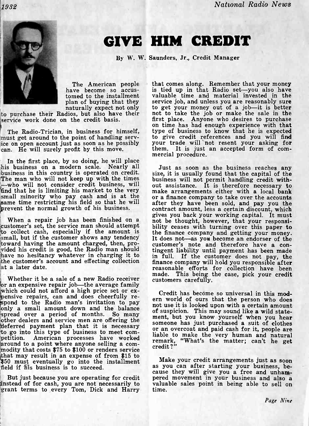(1932 National Radio News

# GIVE HIM CREDIT

By W. W. Saunders, Jr., Credit Manager

tomed to the installment plan of buying that they naturally expect not only

to purchase their Radios, but also have their service work done on the credit basis.

ice on open account just as soon as he possibly can. He will surely profit by this move.

In the first place, by so doing, he will place<br>his business on a modern scale. Nearly all Just as soon as the business reaches any<br>business in this country is operated on credit. Size, it is usually found that the capital who will not consider credit business, will sour assistance. It is therefore necessary to find that he is limiting his market to the very make arrangements either with a local bank small minority who pay cash and is at the small minority who pay cash and is at the same time restricting his field so that he will prevent the normal growth of his business.

to collect cash, especially if the amount is small, but if the customer shows any tendency it does not—as you become an endorser of the toward having the amount charged, then, pro-<br>toward having the amount charged, then, protoward having the amount charged, then, pro-<br>vided his credit is good, the Radio man should have no hesitance have no hesitancy whatever in charging it to have in full. If the customer does not pay, the the customer's account and effecting collection at a later date.

made. This being the Whether it be a sale of a new Radio receiver<br>or an expensive repair job—the average family which could not afford a high price set or ex-<br>pensive repairs, can and does cheerfully re-<br>spond to the Radio man's invitation to pay<br> $\frac{1}{2}$  and to the Radio man's invitation to pay<br> $\frac{1}{2}$  and the Radio man's invit only a small amount down and the balance<br>of suspicion. This may sound like a wild statespread over a period of months. So many<br>spread over a period of months. So many the ment, but you know yourself when you hear other dealers and service men are offering the someone has just purchased a suit of clothes deferred payment plan that it is necessary to go into this type of business to meet com-<br>petition. American processes have worked around to a point where anyone selling a com- modity that costs \$75 to \$100 or renders service \$50 must eventually go into the installment and make your credit arrangements just as soon field if his business is to succeed.

But just because you are operating for credit pered movement in your business and also a sinstead of for cash, you are not necessarily to valuable sales point in being able to sell on grant terms to every Tom, Dick and Har

The American people that comes along. Remember that your money<br>have become so accus- is tied up in that Radio set—you also have on time has had enough experience with that<br>The Radio-Trician, in business for himself, type of business to know that he is expected<br>must get around to the point of handling serv- to give credit references and you will fin that comes along. Remember that your money valuable time and material invested in the service job, and unless you are reasonably sure to get your money out of a job-it is better not to take the job or make the sale in the first place. Anyone who desires to purchase your trade will not resent your asking for them. It is just an accepted form of com- mercial procedure.

When a repair job has been finished on a<br>customer's set, the service man should attempt bility ceases with turning over this paper to Just as soon as the business reaches any size, it is usually found that the capital of the after they have been sold, and pay you the contract amount, less a certain discount, which gives you back your working capital. It must bility ceases with turning over this paper to the finance company and getting your money. tingent liability until payment has been made in full. If the customer does not pay, the finance company will hold you responsible after reasonable efforts for collection have been This being the case, pick your credit

> Credit has become so universal in this modor an overcoat and paid cash for it, people are liable to make the very human and natural remark, "What's the matter; can't he get credit?"

> Make your credit arrangements just as soon cause they will give you a free and unham- pered movement in your business and also a time.

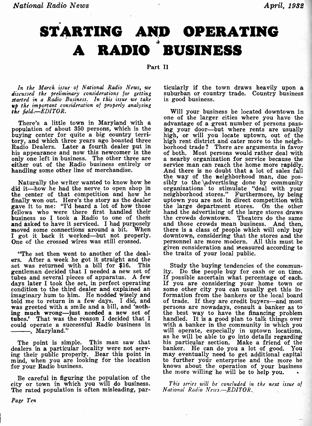# STARTING AND OPERATING A RADIO BUSINESS

Part II

In the March issue of National Radio News, we discussed the preliminary considerations for getting started in a Radio Business. In this issue we take up the important consideration of properly analysing<br>the field.—EDITOR. The state of properly analysing Will your business be located downtown in the field.-EDITOR.

There's a little town in Maryland with a potentially advantage of a great number of persons pass-<br>population of about 350 persons, which is the buying center for quite a big country terri-<br>buying center for quite a big cou Radio Dealers. Later a fourth dealer put in borhood trade? There are arguments in favor<br>his appearance and now this newcomer is the of both. Most persons would rather deal with

Naturally the writer wanted to know how he sibly to the advertising done by community did it—how he had the nerve to open shop in organizations to stimulate "deal with your the center of that competition and how he neighbo the center of that competition and how he finally won out. Here's the story as the dealer gave it to me: "I'd heard a lot of how those fellows who were there first handled their hand business so I took a Radio to one of them the crowds dow and asked to have it serviced. I had purposely moved some connections around a bit. When

"The set then went to another of the dealers. After a week he got it straight and the<br>set was returned with a bill for \$16. This Study the buying tendencies of the commun-<br>gentleman decided that I needed a new set of ity. Do the people buy for cash or on time. gentleman decided that I needed a new set of ity. Do the people buy for cash or on time.<br>tubes and several pieces of apparatus. A few If possible ascertain what percentage of each. tubes and several pieces of apparatus. A few If possible ascertain what percentage of each.<br>days later I took the set, in perfect operating If you are considering your home town or days later I took the set, in perfect operating condition to the third dealer and explained an imaginary hum to him. He nodded wisely and<br>told me to return in a few days. I did, and of trade<br>was greeted with a smile and a bill, and 'noth-<br>persons ing much wrong-just needed a new set of the tubes.' That was the reason I decided that I han tubes.' That was the reason I decided that I handled. It is a good plan to talk things over could operate a successful Radio business in with a banker in the community in which you will operate, especially in uptown locati , Maryland."

dealers in a particular locality were not serv-<br>ing their public properly. Bear this point in ing their public properly. Bear this point in may even ind, when you are looking for the location to furth for your Radio business.

Be careful in figuring the population of the city or town in which you will do business.<br>The rated population is often misleading, par-

ticularly if the town draws heavily upon a suburban or country trade. Country business is good business.

his appearance and now the new the only one left in business. The other three are either out of the Radio business entirely or service man can reach the home more rapidly.<br>
handling some other line of merchandise. And ther moved some connections around a bit. When there is a class of people which will only buy I got it back it worked—but not properly. downtown, considering that the stores and the One of the crossed wires was still crossed. p one of the larger cities where you have the advantage of a great number of persons passing your door-but where rents are usually of both. Most persons would rather deal with a nearby organization for service because the service man can reach the home more rapidly. the way of the neighborhood man, due posorganizations to stimulate "deal with your uptown you are not in direct competition with the large department stores. hand the advertising of the large stores draws the crowds downtown. Theaters do the same and those crowds mean business. And then, there is a class of people which will only buy downtown, considering that the stores and the personnel are more modern. All this must be given consideration and measured according to the traits of your local public.

as he will be able to go into details regarding<br>The point is simple. This man saw that his particular section. Make a friend of the Study the buying tendencies of the community. Do the people buy for cash or on time. If possible ascertain what percentage of each. If you are considering your home town or some other city you can usually get this information from the bankers or the local board of trade. If they are credit buyers-and most persons are nowadays, consult a banker as to the best way to have the financing problem with a banker in the community in which you his particular section. Make a friend of the banker. He can do you a lot of good. You may eventually need to get additional capital to further your enterprise and the more he knows about the operation of your business knows about the operation of your business the more willing he will be to help you.

> This series will be concluded in the next issue of National Radio News.-EDITOR.

Page Ten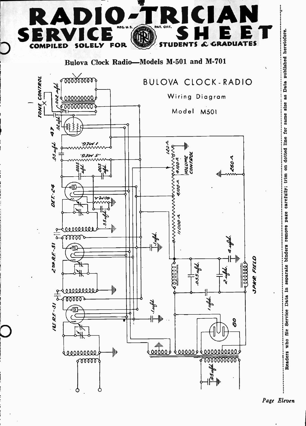

Page Eleven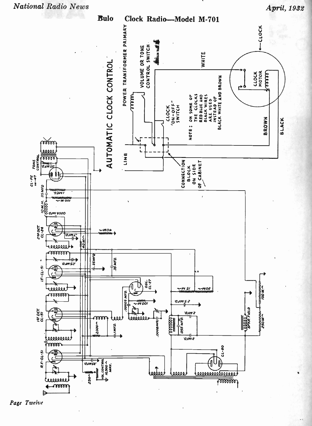

April, 1932



Page Twelve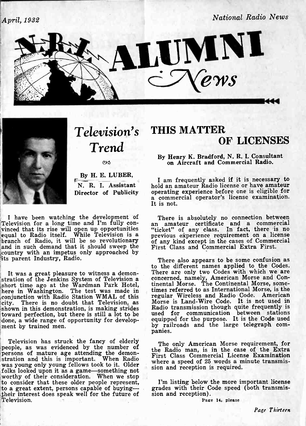April, 1932

National Radio News





ex

Director of Publicity

I have been watching the development of Television for a long time and I'm fully convinced that its rise will open up opportunities equal to Radio itself. While Television is a previous experience requirement on a license branch of Radio, it will be so revolutionary of any kind except in the cases of Commercial branch of Radio, it will be so revolutionary of any and in such demand that it should sweep the First and in such demand that it should sweep the First Class and Commercial Extra First.<br>country with an impetus only approached by its parent Industry, Radio.

It was a great pleasure to witness a demon- stration of the Jenkins System of Television a short time ago at the Wardman Park Hotel, tinental<br>here in Washington. The test was made in times re ,conjunction with Radio Station WMAL of this city. There is no doubt that Television, as shown in this demonstration, is making strides toward perfection, but there is still a lot to be used 1<br>done, a wide range of opportunity for develop- equippe<br>ment by trained men.<br>panies.

Television has struck the fancy of elderly<br>
people, as was evidenced by the number of<br>
persons of mature age attending the demon-<br>
stration and this is important. When Radio<br>
was young only young fellows took to it. Older<br> was young only young fellows took to it. Older folks looked upon it as a game-something not sion and reception is required.<br>worthy of their consideration. When we stop<br>to consider that these older people represent. I'm lis to consider that these older people represent, I'm listing below to a great extent, persons capable of buying--<br>their interest does speak well for the future of sion and reception). their interest does speak well for the future of Television.

# Television's THIS MATTER Trend OF LICENSES

By Henry K. Bradford, N. R. L Consultant on Aircraft and Commercial Radio.

By H. E. LUBER,<br>
I am frequently asked if it is necessary to<br>
N. R. I. Assistant hold an amateur Radio license or have amateur<br>
Nirector of Publicity operating experience before one is eligible for I am frequently asked if it is necessary to hold an amateur Radio license or have amateur a commercial operator's license examination.<br>It is not.

> There is absolutely no connection between an amateur certificate and a commercial "ticket" of any class. In fact, there is no previous experience requirement on a license<br>of any kind except in the cases of Commercial<br>First Class and Commercial Extra First.

> There also appears to be some confusion as<br>to the different names applied to the Codes. There are only two Codes with which we are concerned, namely, American Morse and Continental Morse. The Continental Morse, sometimes referred to as International Morse, is the regular Wireless and Radio Code. American Morse is Land -Wire Code. It is not used in Radio transmission though quite frequently is used for communication between stations equipped for the purpose. It is the Code used by railroads and the large telegraph com-

The only American Morse requirement, for the Radio man, is in the case of the Extra where a speed of 25 words a minute transmis-

grades with their Code speed (both transmis-

Page 14, please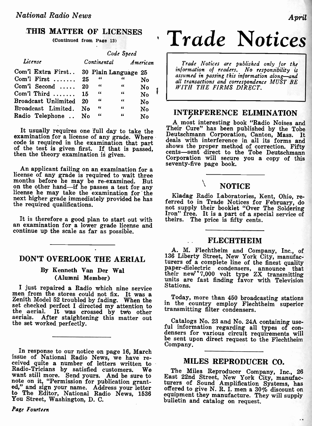## THIS MATTER OF LICENSES

(Continued from Page 13)

|                                        | Code Speed  |            |            |          |  |                  |
|----------------------------------------|-------------|------------|------------|----------|--|------------------|
| License                                | Continental |            |            | American |  |                  |
| Com'l Extra First 30 Plain Language 25 |             |            |            |          |  | in<br>as         |
| Com'l First $\ldots$                   | 25          | -66        | "          | No       |  | alı              |
| Com'l Second $\ldots$ .                | 20          | "          | 66         | No       |  | $\boldsymbol{W}$ |
| Com'l Third $\dots\dots$               | 15          | $\epsilon$ | 44         | No       |  |                  |
| Broadcast Unlimited                    | 20          | "          | 44         | No       |  |                  |
| Broadcast Limited.                     | No          | $\epsilon$ | $\epsilon$ | No       |  |                  |
| Radio Telephone                        | No          | $\epsilon$ | $\epsilon$ | No       |  | IN               |

It usually requires one full day to take the  $\frac{Then}{To^{\text{inter}}}$ examination for a license of any grade. Where code is required in the examination that part deals<br>of the test is given first. If that is passed, shows<br>then the theory examination is given.

An applicant failing on an examination for a license of any grade is required to wait three months before he may be re-examined. But on the other hand-if he passes a test for any license he may take the examination for the Kladag Radio Laboratories, Kent, Ohio, renext higher grade immediately provided he has formed to in Trade Metines for Echmusic the required qualifications.

It is therefore a good plan to start out with an examination for a lower grade license and continue up the scale as far as possible.

## DON'T OVERLOOK THE AERIAL

### By Kenneth Van Der Wal (Alumni Member)

I just repaired a Radio which nine service Station<br>men from the stores could not fix. It was a Toda<br>Zenith Model 52 troubled by fading. When the in the set checked perfect I directed my attention to<br>the aerial. It was crossed by two other aerials. After staightening this matter out<br>the set worked perfectly<br>the set worked perfectly the set worked perfectly.

In response to our notice on page 16, March issue of National Radio News, we have re-<br>ceived quite a number of letters written to<br>Radio-Tricians by satisfied customers. We<br>want still more. Send yours. And be sure to<br>note on it, "Permission for publication grantnote on it, "Permission for publication grant-<br>ed," and sign your name. Address your letter offe to The Editor, National Radio News, 1536 equipment Vou Street, Washington, D. C. bulletin

Page Fourteen

# Trade Notices

Trade Notices are published only for the information of readers. No responsibility is assumed in passing this information along-and all transactions and correspondence MUST BE<br>WITH THE FIRMS DIRECT.

# INTERFERENCE ELIMINATION

A most interesting book "Radio Noises and Their Cure" has been published by the Tobe Deutschmann Corporation, Canton, Mass. It deals with interference in all its forms and shows the proper method of correction. Fifty cents-sent direct to the Tobe Deutschmann Corporation will secure you a copy of this seventy-five page book.

# **NOTICE**

Kladag Radio Laboratories, Kent, Ohio, re- ferred to in Trade Notices for February, do not supply their booklet "Over The Soldering Iron" free. It is a part of a special service of theirs. The price is fifty cents.

#### FLECHTHEIM

A. M. Flechtheim and Company, Inc., of 136 Liberty Street, New York City, manufacturers of a complete line of the finest quality paper -dielectric condensers, announce that their new 7,000 volt type ZX transmitting units are fast finding favor with Television Stations.

Today, more than 450 broadcasting stations in the country employ Flechtheim superior transmitting filter condensers.

ful information regarding all types of con-<br>densers for various circuit requirements will<br>be sent upon direct request to the Flechtheim Company.

## MILES REPRODUCER CO.

The Miles Reproducer Company, Inc., 26 East 22nd Street, New York City, manufacturers of Sound Amplification Systems, has offered to give N. R. I. men a 30% discount on equipment they manufacture. They will supply bulletin and catalog on request.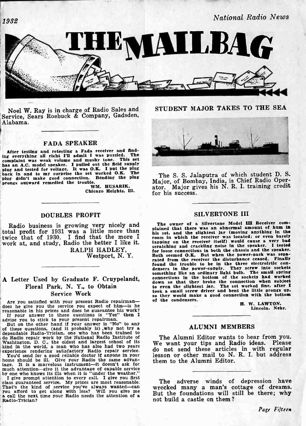il932 National Radio News

HEWAILBAG

Noel W. Ray is in charge of Radio Sales and Service, Sears Roebuck & Company, Gadsden, Alabama.

#### FADA SPEAKER

After testing and retesting a Fada receiver and find-<br>a creativities all right I'll admit I was nuzzled. The ing everything all right I'll admit I was puzzled. complaint was weak volume and mushy tone. This set<br>has an A.C. model speaker. I pulled out the field supply<br>plug and tested for voltage. It was O.K. I put the plug<br>back in and to my surprise the set worked O.K. The

#### DOUBLES PROFIT

Radio business is growing very nicely and The or total profit for 1931 was a little more than his set, a work at, and study, Radio the better I like it.

RALPH HADLEY,<br>Westport, N.Y.

# A Letter Used by Graduate F. Cruypelandt, Floral Park, N. Y., to Obtain Service Work

Are you satisfied with your present Radio repairman—<br>does he give you the service you expect of him-is he<br>reasonable in his prices and does he guarantee his work? reasonable in his prices and does he guarantee his work?<br>If your answer to these questions is "Yes" then I<br>advise you to stick to your present repairman.<br>But on the other hand if your answer is "No" to any

of these questions, (and it probably is) why not try a dependable Radio-Trician, one who has been trained to do Radio repair work by the National Radio Institute of Washington, D. C., the oldest and largest school of its We experience rendering satisfactory Radio repair serve. The experience rendering satisfactory Radio repair se

You'd send for a good reliable doctor if anyone in your<br>home should be ill. Give your Radio the same advan-<br>tage. It is a marvelous instrument-it doesn't ask for much attention-give it the advantage of capable service<br>by one who knows its ills when it is "under the weather."<br>I give prompt attention to every call. I give you first

class guaranteed service. My prices are most reasonable. The adverse winds of depression have<br>That's the kind of service you've always wanted—can<br>you affort of the set along with less? Will you give me<br>a call the next time

STUDENT MAJOR TAKES TO THE SEA



back in and to my surprise the set worked O.K. The<br>
plug didn't make good connection. Bending the plug<br>
prongs outward remedied the trouble.<br>
WM. HUSARIK,<br>
Chicago Heights, Ill.<br>
Chicago Heights, Ill.<br>
Chicago Heights, Ill The S. S. Jalaputra of which student D. S. Major, of Bombay, India, is Chief Radio Operator. Major gives his N. R. I. training credit for his success.

#### SILVERTONE III

total profit for 1931 was a little more than this set, and the slightest jar (moving anything in the twice that of 1930. I find that the more I room in which the receiver was located; or even barely The owner of a Silvertone Model III Receiver com-<br>plained that there was an abnormal amount of hum in room in which the receiver was located; or even barely tapping on the receiver itself) would cause a very bad scratching and crackling noise in the speaker. I tested<br>for loose connections in both the chassis and the speaker. for loose connections in both the chassis and the speaker.<br>Both seemed O.K. But when the power-pack was sepa-<br>rated from the receiver the disturbance ceased. Finally found the trouble to be in the three electrolytic con- densers in the power -supply. They screw into sockets densers in the power-supply. They screw into sockets something like an ordinary light bulb. The small spring connections in the bottom of the sockets had worked down so that they broke the connection when subject to even the slightest Jar. The set worked fine, after I took a small screw driver and bent the little prongs up. so they would make a good connection with the bottom so they would make a good connection with the bottom<br>of the condensers.<br>H. W. LAWTON,<br>Lincoln, Nebr.

### ALUMNI MEMBERS

The Alumni Editor wants to hear from you. We want your tips and Radio ideas. Please do not send these articles in with regular lesson or other mail to N. R. I. but address them to the Alumni Editor.

The adverse winds of depression have wrecked many a man's cottage of dreams. not build a castle on them ?